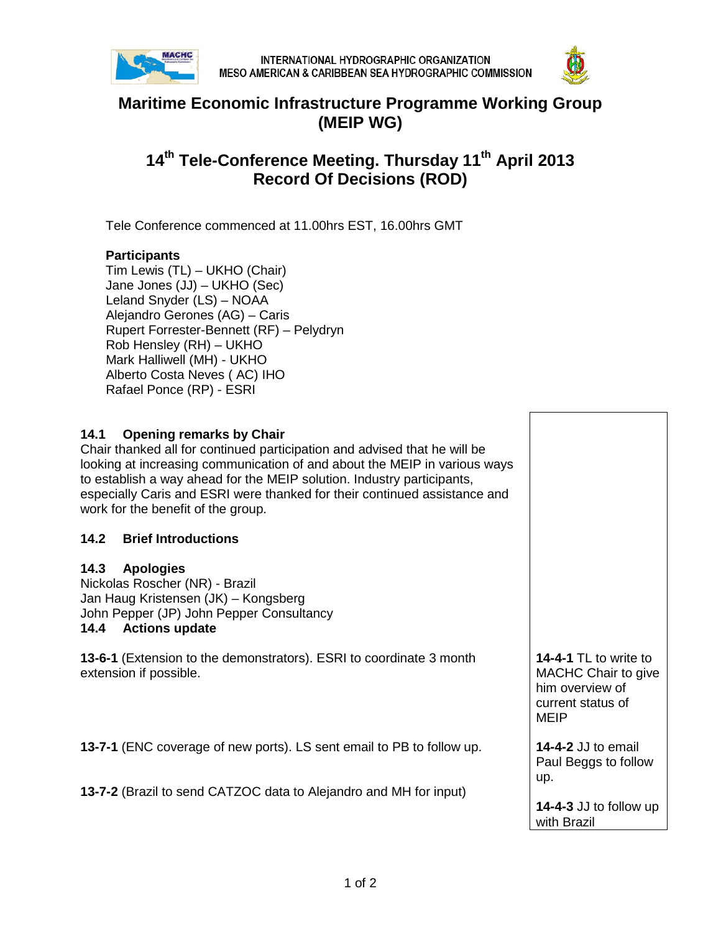



## **Maritime Economic Infrastructure Programme Working Group (MEIP WG)**

# **14th Tele-Conference Meeting. Thursday 11th April 2013 Record Of Decisions (ROD)**

Tele Conference commenced at 11.00hrs EST, 16.00hrs GMT

#### **Participants**

Tim Lewis (TL) – UKHO (Chair) Jane Jones (JJ) – UKHO (Sec) Leland Snyder (LS) – NOAA Alejandro Gerones (AG) – Caris Rupert Forrester-Bennett (RF) – Pelydryn Rob Hensley (RH) – UKHO Mark Halliwell (MH) - UKHO Alberto Costa Neves ( AC) IHO Rafael Ponce (RP) - ESRI

#### **14.1 Opening remarks by Chair**

Chair thanked all for continued participation and advised that he will be looking at increasing communication of and about the MEIP in various ways to establish a way ahead for the MEIP solution. Industry participants, especially Caris and ESRI were thanked for their continued assistance and work for the benefit of the group.

#### **14.2 Brief Introductions**

#### **14.3 Apologies**

Nickolas Roscher (NR) - Brazil Jan Haug Kristensen (JK) – Kongsberg John Pepper (JP) John Pepper Consultancy **14.4 Actions update**

**13-6-1** (Extension to the demonstrators). ESRI to coordinate 3 month extension if possible.

**13-7-1** (ENC coverage of new ports). LS sent email to PB to follow up.

**13-7-2** (Brazil to send CATZOC data to Alejandro and MH for input)

**14-4-1** TL to write to MACHC Chair to give him overview of current status of MEIP

**14-4-2** JJ to email Paul Beggs to follow up.

**14-4-3** JJ to follow up with Brazil